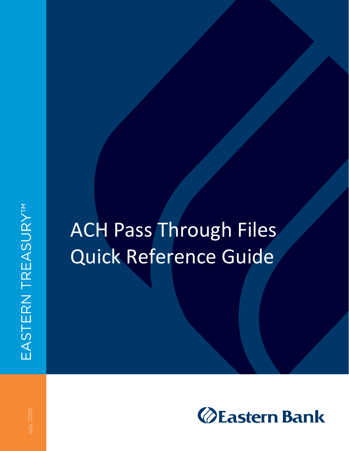# ACH Pass Through Files Quick Reference Guide

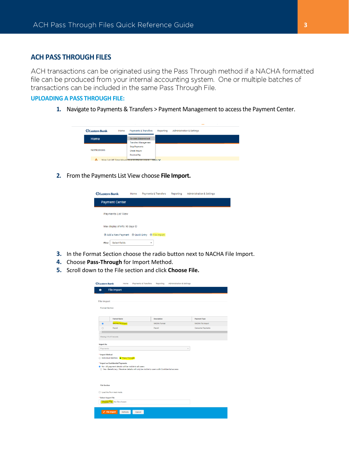# **ACH PASS THROUGH FILES**

ACH transactions can be originated using the Pass Through method if a NACHA formatted file can be produced from your internal accounting system. One or multiple batches of transactions can be included in the same Pass Through File.

#### **UPLOADING A PASS THROUGH FILE:**

**1.** Navigate to Payments & Transfers > Payment Management to access the Payment Center.

| <b><i><u>OEastern Bank</u></i></b> | Home | Payments & Transfers                                     | Reporting | <b>Administration &amp; Settings</b> |
|------------------------------------|------|----------------------------------------------------------|-----------|--------------------------------------|
| Home                               |      | <b>Payment Management</b><br><b>Transfers Management</b> |           |                                      |
|                                    |      | <b>Stop Payments</b>                                     |           |                                      |
| <b>Notifications</b>               |      | <b>Check Inquiry</b>                                     |           |                                      |
|                                    |      | <b>Positive Pay</b>                                      |           |                                      |
| A                                  |      | Wire Cut Off Time Moves to 4:30 PM on July 6             | More V    |                                      |

**2.** From the Payments List View choose **File Import.**



- **3.** In the Format Section choose the radio button next to NACHA File Import.
- **4.** Choose **Pass-Through** for Import Method.
- **5.** Scroll down to the File section and click **Choose File.**

| <b>ØEastern Bank</b>  |                                                                                 | Home    | <b>Payments &amp; Transfers</b>                                                                                                                        | Reporting           | <b>Administration &amp; Settings</b> |                          |
|-----------------------|---------------------------------------------------------------------------------|---------|--------------------------------------------------------------------------------------------------------------------------------------------------------|---------------------|--------------------------------------|--------------------------|
|                       | <b>File Import</b>                                                              |         |                                                                                                                                                        |                     |                                      |                          |
| <b>File Import</b>    |                                                                                 |         |                                                                                                                                                        |                     |                                      |                          |
| <b>Format Section</b> |                                                                                 |         |                                                                                                                                                        |                     |                                      |                          |
|                       | <b>Format Name</b>                                                              |         |                                                                                                                                                        | <b>Description</b>  |                                      | <b>Payment Type</b>      |
| $\circledcirc$        | <b>NACHA File Import</b>                                                        |         |                                                                                                                                                        | <b>NACHA Format</b> |                                      | <b>NACHA File Import</b> |
| $\circ$               | Payroll                                                                         |         |                                                                                                                                                        | Payroll             |                                      | <b>Consumer Payments</b> |
|                       | O Individual Batches <b>@ Pass-Through</b><br>* Import as Confidential Payments |         | No - All payment details will be visible to all users<br>O Yes - Beneficiary / Receiver details will only be visible to users with Confidential access |                     |                                      |                          |
| <b>File Section</b>   |                                                                                 |         |                                                                                                                                                        |                     |                                      |                          |
|                       | □ Load the file in test mode.                                                   |         |                                                                                                                                                        |                     |                                      |                          |
| * Select Import File  |                                                                                 |         |                                                                                                                                                        |                     |                                      |                          |
|                       | Choose File No file chosen                                                      |         |                                                                                                                                                        |                     |                                      |                          |
|                       | <b>File Import</b>                                                              | Refresh | Cancel                                                                                                                                                 |                     |                                      |                          |
|                       |                                                                                 |         |                                                                                                                                                        |                     |                                      |                          |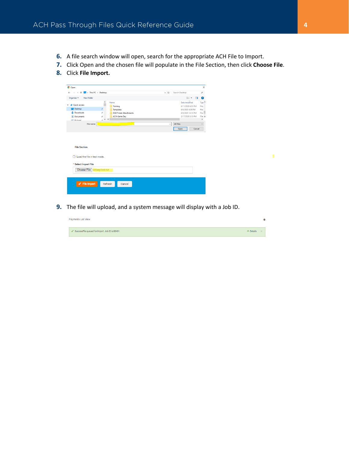- **6.** A file search window will open, search for the appropriate ACH File to Import.
- **7.** Click Open and the chosen file will populate in the File Section, then click **Choose File**.
- **8.** Click **File Import.**

| O Open                                                                                              |                                                                                                                                                               |              |                                                                                                                      | $\times$                                                                    |
|-----------------------------------------------------------------------------------------------------|---------------------------------------------------------------------------------------------------------------------------------------------------------------|--------------|----------------------------------------------------------------------------------------------------------------------|-----------------------------------------------------------------------------|
| > This PC > Desktop<br>$\leftarrow$<br>$\rightarrow$<br>$~\cdot~$ 1                                 |                                                                                                                                                               | $\sim~5$     | Search Desktop                                                                                                       | $\varphi$                                                                   |
| New folder<br>Organize v                                                                            |                                                                                                                                                               |              | $\mathbb{R}^n \rightarrow \mathbb{R}$<br>$\Box$                                                                      | $\bullet$                                                                   |
| $\vee$ <b>x</b> Quick access<br>Desktop<br>Downloads<br>Documents<br><b>Dictionar</b><br>File name: | $\hat{\phantom{a}}$<br>Name<br>Training<br>$\mathcal{R}$<br>Templates<br>À.<br><b>DGB Ticket Attachments</b><br><b>ACH-Same Day</b><br>÷<br>$\rightarrow$ v c | $\checkmark$ | Date modified<br>6/11/2020 4:53 PM<br>6/9/2020 4:28 PM<br>6/9/2020 12:15 PM<br>3/17/2020 3:10 PM<br><b>All Files</b> | Typi <sup>A</sup><br>File<br>File<br>File<br>File v<br>$\,$<br>$\checkmark$ |
|                                                                                                     |                                                                                                                                                               |              | Cancel<br>Open                                                                                                       |                                                                             |
| <b>File Section</b><br>Load the file in test mode.<br>n                                             |                                                                                                                                                               |              |                                                                                                                      |                                                                             |
| * Select Import File                                                                                |                                                                                                                                                               |              |                                                                                                                      |                                                                             |
| <b>Choose File DirDepTest.txt</b>                                                                   |                                                                                                                                                               |              |                                                                                                                      |                                                                             |
| $\sqrt{\phantom{a}}$ File Import                                                                    | Refresh<br>Cancel                                                                                                                                             |              |                                                                                                                      |                                                                             |

**9.** The file will upload, and a system message will display with a Job ID.

| <b>Payments List View</b> |                                                   |                 | 娄 |
|---------------------------|---------------------------------------------------|-----------------|---|
|                           | √ SuccessFile queued for import. Job ID is 88431. | $\land$ Details |   |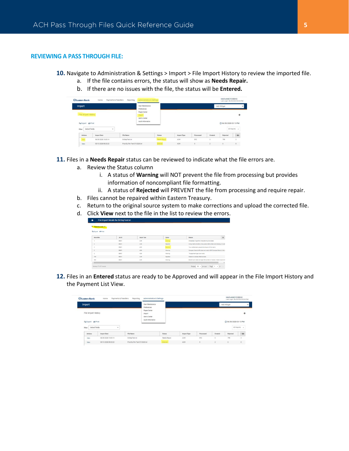### **REVIEWING A PASS THROUGH FILE:**

- **10.** Navigate to Administration & Settings > Import > File Import History to review the imported file.
	- a. If the file contains errors, the status will show as **Needs Repair.**
		- b. If there are no issues with the file, the status will be **Entered.**

| <b>OEastern Bank</b>    | Payments & Transfers<br>Home | Reporting                      | Administration & Settings                      |                     |             |           |            | MARIANNE ROBBINS      | Lest Login: 06/30/2020 02:50 PM |
|-------------------------|------------------------------|--------------------------------|------------------------------------------------|---------------------|-------------|-----------|------------|-----------------------|---------------------------------|
| <b>Import</b>           |                              |                                | User Maintenance<br>Preferences                |                     |             |           |            | Add Widget            |                                 |
| File Import History     |                              |                                | Payee Center<br><b>Import</b><br>Alerts Center |                     |             |           |            |                       | ۰                               |
| Re Export & Print       |                              |                                | Audit Information                              |                     |             |           |            | C 06/30/2020 03:10 PM |                                 |
| Select fields<br>Filter | ٠                            |                                |                                                |                     |             |           |            |                       | All imports -                   |
| Actions                 | <b>Import Date</b>           | File Name                      |                                                | Status              | Import Type | Processed | Created    | Rejected              | ió.                             |
| View                    | 06/30/2020 15:00:14          | DirDepTest.txt                 |                                                | <b>Needs Repair</b> | ACH         | 810       | $^{\circ}$ | 798                   |                                 |
| View                    | 05/13/2020 08:25:23          | Prod GL File Test 5112020 tist |                                                | Entered             | ACH         |           |            | $\alpha$              | 0                               |

**11.** Files in a **Needs Repair** status can be reviewed to indicate what the file errors are.

- a. Review the Status column
	- i. A status of **Warning** will NOT prevent the file from processing but provides information of noncompliant file formatting.
	- ii. A status of **Rejected** will PREVENT the file from processing and require repair.
- b. Files cannot be repaired within Eastern Treasury.
- c. Return to the original source system to make corrections and upload the corrected file.
- d. Click **View** next to the file in the list to review the errors.

| v<br><b>Failed Records (7)</b> |               |             |                 |                                                                      |                     |
|--------------------------------|---------------|-------------|-----------------|----------------------------------------------------------------------|---------------------|
| <b>Be Export B Print</b>       |               |             |                 |                                                                      |                     |
| Record No.                     | <b>Job ID</b> | Import Type | Status          | Reason                                                               | $\ddot{\mathbf{O}}$ |
|                                | <b>MA31</b>   | <b>ACH</b>  | Warning         | Immediate Origin first character must be blank.                      |                     |
| $\overline{z}$                 | 88431         | <b>ACH</b>  | Rejected        | Comp Name, ID, Entry Class, and/or Entry Desc are missing or invali- |                     |
| $\overline{2}$                 | 88431         | ACH         | <b>Rejected</b> | Your entitlements prevent the import of this batch.                  |                     |
| $\bar{z}$                      | 88431         | <b>ACH</b>  | Warning         | Company Name in file does not match ACH Company Name in the a        |                     |
| $\overline{2}$                 | 88431         | ACH         | Warning         | The payment type is not valid.                                       |                     |
| 793                            | 88431         | <b>ACH</b>  | Rejected        | Unable to validate effective date.                                   |                     |
| 800                            | 88431         | ACH         | Warning         | Block Count does not equal the number of blocks of data found in th  |                     |

**12.** Files in an **Entered** status are ready to be Approved and will appear in the File Import History and the Payment List View.

| <b>OEastern Bank</b>                                                       | Payments & Transfers<br>Home | Reporting                      | Administration & Settings                                    |              |             |           |         | MARIANNE ROBBINS<br>Last Login: 06/30/2020 02:50 PM |                    |
|----------------------------------------------------------------------------|------------------------------|--------------------------------|--------------------------------------------------------------|--------------|-------------|-----------|---------|-----------------------------------------------------|--------------------|
| <b>Import</b>                                                              |                              |                                | User Maintenance<br>Preferences                              |              |             |           |         | Add Widget                                          |                    |
| File Import History<br><b>Re Export A Print</b><br>Filter<br>Select fields | ٠                            |                                | Payee Center<br>Import<br>Alerts Center<br>Audit Information |              |             |           |         | C 06/30/2020 03:10 PM                               | ۰<br>All imports + |
| Actions                                                                    | Import Date                  | File Name                      |                                                              | Status       | Import Type | Processed | Created | Rejected                                            | ide.               |
| View                                                                       | 06/30/2020 15:00:14          | DirDepTest.txt                 |                                                              | Needs Repair | ACH         | 810       | o       | 798                                                 |                    |
| View                                                                       | 05/13/2020 08:25:23          | Prod GL File Test 5112020 tist |                                                              | Entered      | ACH         |           |         | ø                                                   | $\circ$            |